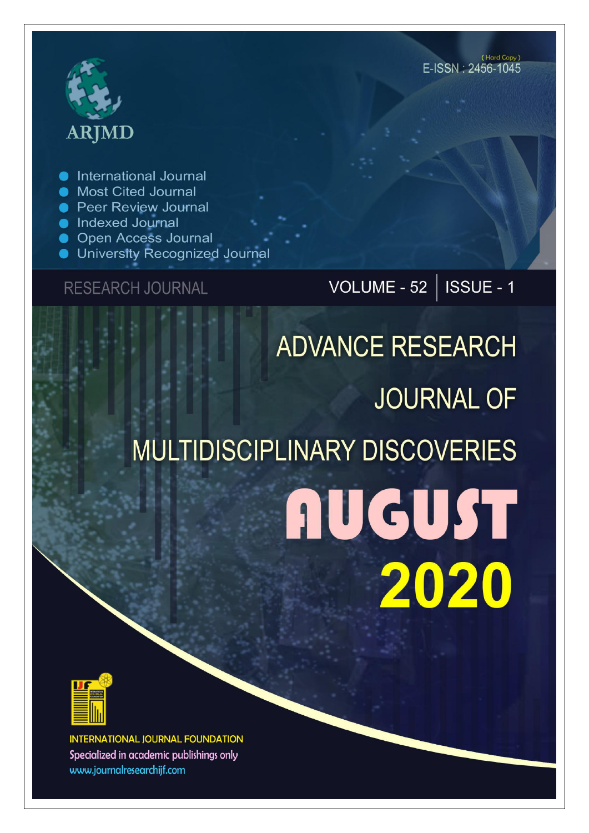

International Journal

- **Most Cited Journal**
- **Peer Review Journal**
- **Indexed Journal**
- **Open Access Journal**
- University Recognized Journal

### **RESEARCH JOURNAL**

VOLUME - 52 | ISSUE - 1

# **ADVANCE RESEARCH JOURNAL OF MULTIDISCIPLINARY DISCOVERIES AUGUST** 2020



**INTERNATIONAL JOURNAL FOUNDATION** Specialized in academic publishings only www.journalresearchijf.com

(Hard Copy)  $F$ -ISSN  $\cdot$  2456-1045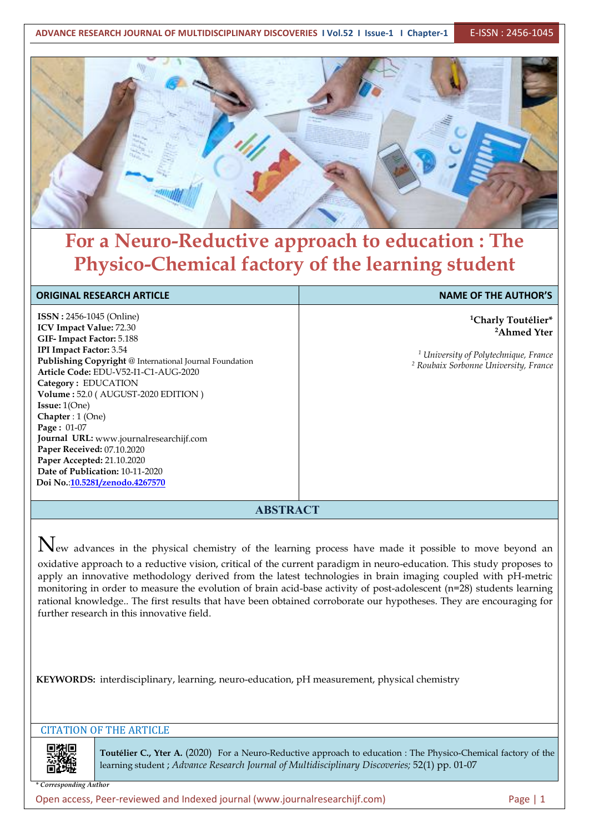**ADVANCE RESEARCH JOURNAL OF MULTIDISCIPLINARY DISCOVERIES I Vol.52 I Issue-1 I Chapter-1** E-ISSN : 2456-1045



## **For a Neuro-Reductive approach to education : The Physico-Chemical factory of the learning student**

| <b>ORIGINAL RESEARCH ARTICLE</b>                                                                                                                                                                                                                                                                                               | <b>NAME OF THE AUTHOR'S</b>                                                                                                                                       |
|--------------------------------------------------------------------------------------------------------------------------------------------------------------------------------------------------------------------------------------------------------------------------------------------------------------------------------|-------------------------------------------------------------------------------------------------------------------------------------------------------------------|
| <b>ISSN: 2456-1045 (Online)</b><br>ICV Impact Value: 72.30<br>GIF- Impact Factor: 5.188<br><b>IPI Impact Factor: 3.54</b><br>Publishing Copyright @ International Journal Foundation<br>Article Code: EDU-V52-I1-C1-AUG-2020<br>Category: EDUCATION<br>Volume: 52.0 (AUGUST-2020 EDITION)<br>Issue: 1(One)<br>Chapter: 1 (One) | <sup>1</sup> Charly Toutélier*<br><sup>2</sup> Ahmed Yter<br><sup>1</sup> University of Polytechnique, France<br><sup>2</sup> Roubaix Sorbonne University, France |
| Page: 01-07<br>Journal URL: www.journalresearchijf.com<br>Paper Received: 07.10.2020<br>Paper Accepted: 21.10.2020<br>Date of Publication: 10-11-2020<br>Doi No.:10.5281/zenodo.4267570                                                                                                                                        |                                                                                                                                                                   |
| A DOTD A CT                                                                                                                                                                                                                                                                                                                    |                                                                                                                                                                   |

**ABSTRACT**

 $N_{ew}$  advances in the physical chemistry of the learning process have made it possible to move beyond an oxidative approach to a reductive vision, critical of the current paradigm in neuro-education. This study proposes to apply an innovative methodology derived from the latest technologies in brain imaging coupled with pH-metric monitoring in order to measure the evolution of brain acid-base activity of post-adolescent (n=28) students learning rational knowledge.. The first results that have been obtained corroborate our hypotheses. They are encouraging for further research in this innovative field.

**KEYWORDS:** interdisciplinary, learning, neuro-education, pH measurement, physical chemistry

#### CITATION OF THE ARTICLE

**Toutélier C., Yter A.** (2020) For a Neuro-Reductive approach to education : The Physico-Chemical factory of the learning student ; *Advance Research Journal ofMultidisciplinary Discoveries;* 52(1) pp. 01-07

*\* Corresponding Author*

Open access, Peer-reviewed and Indexed journal (www.journalresearchijf.com) Page |1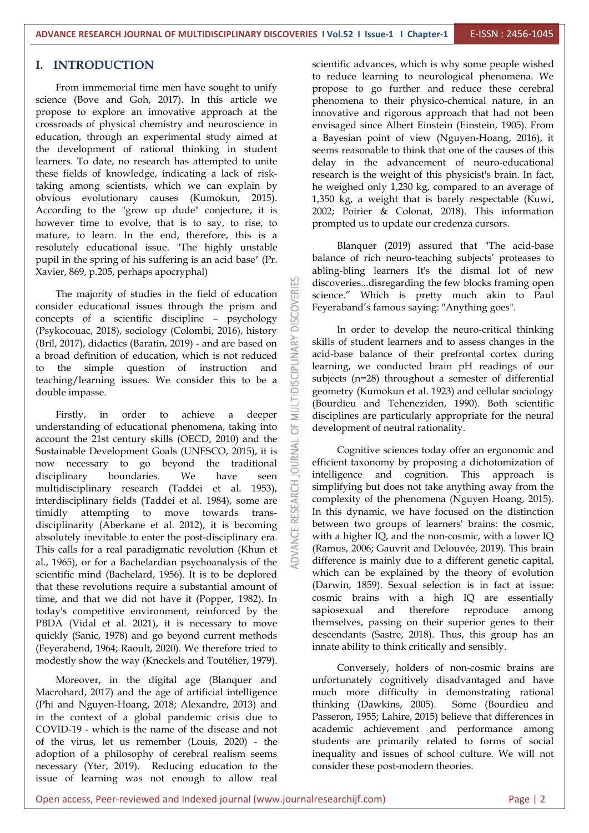#### **I. INTRODUCTION**

From immemorial time men have sought to unify science (Bove and Goh, 2017). In this article we propose to explore an innovative approach at the crossroads of physical chemistry and neuroscience in education, through an experimental study aimed at the development of rational thinking in student learners. To date, no research has attempted to unite these fields of knowledge, indicating a lack of risktaking among scientists, which we can explain by obvious evolutionary causes (Kumokun, 2015). According to the "grow up dude" conjecture, it is however time to evolve, that is to say, to rise, to mature, to learn. In the end, therefore, this is a resolutely educational issue. "The highly unstable pupil in the spring of his suffering is an acid base" (Pr. Xavier, 869, p.205, perhaps apocryphal)

The majority of studies in the field of education<br>ider educational issues through the prism and<br>cepts of a scientific discipline - psychology<br>kocouac 2018) sociology (Colombi 2016) bistory consider educational issues through the prism and concepts of a scientific discipline – psychology (Psykocouac, 2018), sociology (Colombi, 2016), history<br>(Bril, 2017), didactics (Baratin, 2019) - and are based on<br>a broad definition of education, which is not reduced<br>to the simple question of instruction and<br>tending (la (Bril, 2017), didactics (Baratin, 2019) - and are based on a broad definition of education, which is not reduced to the simple question of instruction and teaching/learning issues. We consider this to be a double impasse double impasse.

Firstly, in order to achieve a deeper understanding of educational phenomena, taking into account the 21st century skills (OECD, 2010) and the Sustainable Development Goals (UNESCO, 2015), it is now necessary to go beyond the traditional disciplinary boundaries. We have seen intelligence and cognition. This approach is multidisciplinary research (Taddei et al. 1953),  $\overline{C}$ <br>interdisciplinary fields (Taddei et al. 1984), some are<br>timidly attempting to move towards transinterdisciplinary fields (Taddei et al.1984), some are timidly attempting to move towards trans disciplinarity (Aberkane et al. 2012), it is becoming absolutely inevitable to enter the post-disciplinary era. This calls for a real paradigmatic revolution (Khun et al., 1965), or for a Bachelardian psychoanalysis of the scientific mind (Bachelard, 1956). It is to be deplored that these revolutions require a substantial amount of time, and that we did not have it (Popper, 1982). In today's competitive environment, reinforced by the PBDA (Vidal et al. 2021), it is necessary to move quickly (Sanic, 1978) and go beyond current methods (Feyerabend, 1964; Raoult, 2020). We therefore tried to modestly show the way (Kneckels and Toutélier, 1979).

Moreover, in the digital age (Blanquer and Macrohard, 2017) and the age of artificial intelligence (Phi and Nguyen-Hoang, 2018; Alexandre, 2013) and in the context of a global pandemic crisis due to COVID-19 - which is the name of the disease and not of the virus, let us remember (Louis, 2020) - the adoption of a philosophy of cerebral realism seems necessary (Yter, 2019). Reducing education to the issue of learning was not enough to allow real

scientific advances, which is why some people wished to reduce learning to neurological phenomena. We propose to go further and reduce these cerebral phenomena to their physico-chemical nature, in an innovative and rigorous approach that had not been envisaged since Albert Einstein (Einstein, 1905). From a Bayesian point of view (Nguyen-Hoang, 2016), it seems reasonable to think that one of the causes of this delay in the advancement of neuro-educational research is the weight of this physicist's brain. In fact, he weighed only 1,230 kg, compared to an average of 1,350 kg, a weight that is barely respectable (Kuwi, 2002; Poirier & Colonat, 2018). This information prompted us to update our credenza cursors.

Blanquer (2019) assured that "The acid-base balance of rich neuro-teaching subjects' proteases to abling-bling learners It's the dismal lot of new discoveries...disregarding the few blocks framing open science." Which is pretty much akin to Paul Feyeraband's famous saying: "Anything goes".

In order to develop the neuro-critical thinking skills of student learners and to assess changes in the acid-base balance of their prefrontal cortex during learning, we conducted brain pH readings of our subjects (n=28) throughout a semester of differential geometry (Kumokun et al. 1923) and cellular sociology (Bourdieu and Teheneziden, 1990). Both scientific disciplines are particularly appropriate for the neural development of neutral rationality.

Cognitive sciences today offer an ergonomic and efficient taxonomy by proposing a dichotomization of simplifying but does not take anything away from the complexity of the phenomena (Nguyen Hoang, 2015). In this dynamic, we have focused on the distinction between two groups of learners' brains: the cosmic, with a higher IQ, and the non-cosmic, with a lower IQ (Ramus, 2006; Gauvrit and Delouvée, 2019). This brain difference is mainly due to a different genetic capital, which can be explained by the theory of evolution (Darwin, 1859). Sexual selection is in fact at issue: cosmic brains with a high IQ are essentially sapiosexual and therefore reproduce among themselves, passing on their superior genes to their descendants (Sastre, 2018). Thus, this group has an innate ability to think critically and sensibly.

Conversely, holders of non-cosmic brains are unfortunately cognitively disadvantaged and have much more difficulty in demonstrating rational thinking (Dawkins, 2005). Some (Bourdieu and Passeron, 1955; Lahire, 2015) believe that differences in academic achievement and performance among students are primarily related to forms of social inequality and issues of school culture. We will not consider these post-modern theories.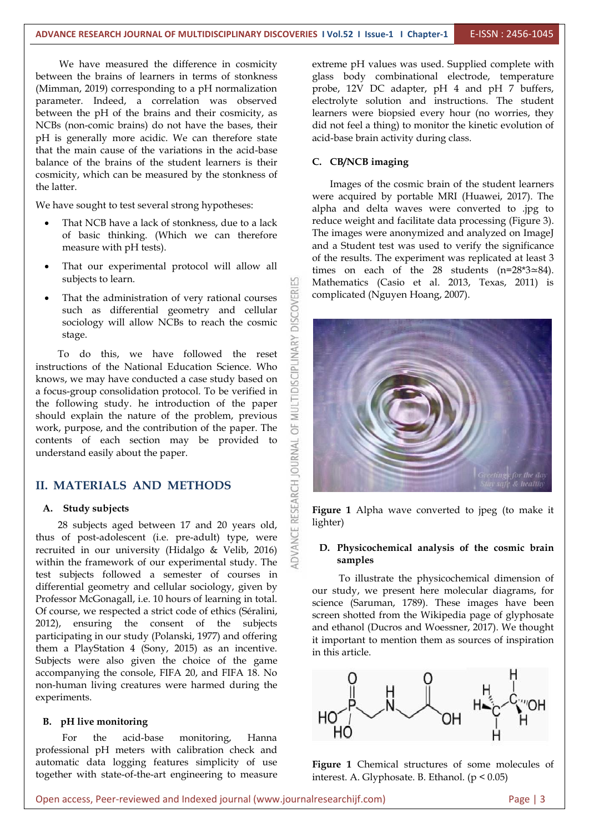K

We have measured the difference in cosmicity between the brains of learners in terms of stonkness (Mimman, 2019) corresponding to a pH normalization parameter. Indeed, a correlation was observed between the pH of the brains and their cosmicity, as NCBs (non-comic brains) do not have the bases, their pH is generally more acidic. We can therefore state that the main cause of the variations in the acid-base balance of the brains of the student learners is their cosmicity, which can be measured by the stonkness of the latter.

We have sought to test several strong hypotheses:

- That NCB have a lack of stonkness, due to a lack of basic thinking. (Which we can therefore measure with pH tests).
- That our experimental protocol will allow all subjects to learn.
- That the administration of very rational courses<br>such as differential geometry and cellular<br>sociology will allow NCBs to reach the cosmic such as differential geometry and cellular sociology will allow NCBs to reach the cosmic stage.

To do this, we have followed the reset<br>uctions of the National Education Science. Who instructions of the National Education Science. Who knows, we may have conducted a case study based on a focus-group consolidation protocol. To be verified in  $\Box$ the following study. he introduction of the paper should explain the nature of the problem, previous work, purpose, and the contribution of the paper. The contents of each section may be provided to  $\frac{1}{2}$  understand easily about the paper. understand easily about the paper.

## **II. MATERIALS AND METHODS**<br>**A. Study subjects**<br>**29 At high-search between 17** and 29 **percent** and

#### **A. Study subjects**

28 subjects aged between 17and 20 years old, thus of post-adolescent (i.e. pre-adult) type, were recruited in our university (Hidalgo & Velib, 2016) within the framework of our experimental study. The test subjects followed a semester of courses in differential geometry and cellular sociology, given by Professor McGonagall, i.e. 10 hours of learning in total. Of course, we respected a strict code of ethics (Séralini, 2012), ensuring the consent of the subjects participating in our study (Polanski, 1977) and offering them a PlayStation 4 (Sony, 2015) as an incentive. Subjects were also given the choice of the game accompanying the console, FIFA 20, and FIFA 18. No non-human living creatures were harmed during the experiments.

#### **B. pH live monitoring**

For the acid-base monitoring, Hanna professional pH meters with calibration check and automatic data logging features simplicity of use together with state-of-the-art engineering to measure extreme pH values was used. Supplied complete with glass body combinational electrode, temperature probe, 12V DC adapter, pH 4 and pH 7 buffers, electrolyte solution and instructions. The student learners were biopsied every hour (no worries, they did not feel a thing) to monitor the kinetic evolution of acid-base brain activity during class.

#### **C. CB/NCB imaging**

Images of the cosmic brain of the student learners were acquired by portable MRI (Huawei, 2017). The alpha and delta waves were converted to .jpg to reduce weight and facilitate data processing (Figure 3). The images were anonymized and analyzed on ImageJ and a Student test was used to verify the significance of the results. The experiment was replicated at least 3 times on each of the 28 students (n=28\*3≃84). Mathematics (Casio et al. 2013, Texas, 2011) is complicated (Nguyen Hoang, 2007).



**Figure 1** Alpha wave converted to jpeg (to make it lighter)

#### **D. Physicochemical analysis of the cosmic brain samples**

To illustrate the physicochemical dimension of our study, we present here molecular diagrams, for science (Saruman, 1789). These images have been screen shotted from the Wikipedia page of glyphosate and ethanol (Ducros and Woessner, 2017). We thought it important to mention them as sources of inspiration in this article.



**Figure 1** Chemical structures of some molecules of interest. A. Glyphosate. B. Ethanol. (p < 0.05)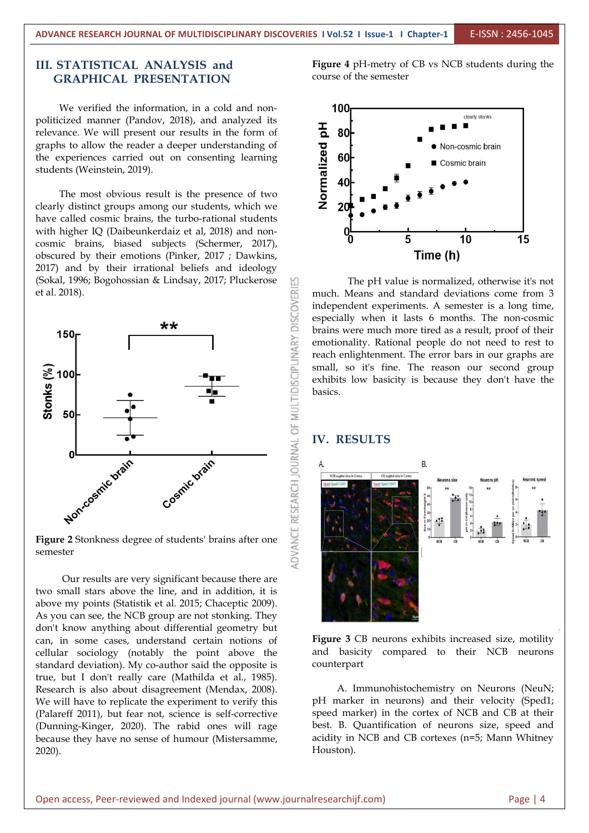#### **III. STATISTICAL ANALYSIS and GRAPHICAL PRESENTATION**

We verified the information, in a cold and non-<br> **100** politicized manner (Pandov, 2018), and analyzed its<br>relevance. We will present our results in the form of<br>graphs to allow the reader a deeper understanding of<br>the experiences carried out on consenting learning<br>students (We relevance. We will present our results in the form of  $\overline{6}$  80 graphs to allow the reader a deeper understanding of the experiences carried out on consenting learning  $\overline{N}$  60 students (Weinstein, 2019).

The most obvious result is the presence of two clearly distinct groups among our students, which we  $\overline{Z}$  20 have called cosmic brains, the turbo-rational students with higher IQ (Daibeunkerdaiz et al, 2018) and noncosmic brains, biased subjects (Schermer, 2017), obscured by their emotions (Pinker, 2017 ; Dawkins, 2017) and by their irrational beliefs and ideology (Sokal, 1996; Bogohossian & Lindsay, 2017; Pluckerose et al. 2018).



semester

Our results are very significant because there are two small stars above the line, and in addition, it is above my points (Statistik et al.2015; Chaceptic 2009). As you can see, the NCB group are not stonking. They don't know anything about differential geometry but can, in some cases, understand certain notions of cellular sociology (notably the point above the standard deviation). My co-author said the opposite is true, but I don't really care (Mathilda et al., 1985). Research is also about disagreement (Mendax, 2008). We will have to replicate the experiment to verify this (Palareff 2011), but fear not, science is self-corrective (Dunning-Kinger, 2020). The rabid ones will rage because they have no sense of humour (Mistersamme, 2020).

**Figure 4** pH-metry of CB vs NCB students during the course of the semester



The pH value is normalized, otherwise it's not much. Means and standard deviations come from 3 independent experiments. A semester is a long time, especially when it lasts 6 months. The non-cosmic brains were much more tired as a result, proof of their emotionality. Rational people do not need to rest to reach enlightenment. The error bars in our graphs are small, so it's fine. The reason our second group exhibits low basicity is because they don't have the basics.

#### **IV. RESULTS**



**Figure 3** CB neurons exhibits increased size, motility and basicity compared to their NCB neurons counterpart

A. Immunohistochemistry on Neurons (NeuN; pH marker in neurons) and their velocity (Sped1; speed marker) in the cortex of NCB and CB at their best. B. Quantification of neurons size, speed and acidity in NCB and CB cortexes (n=5; Mann Whitney Houston).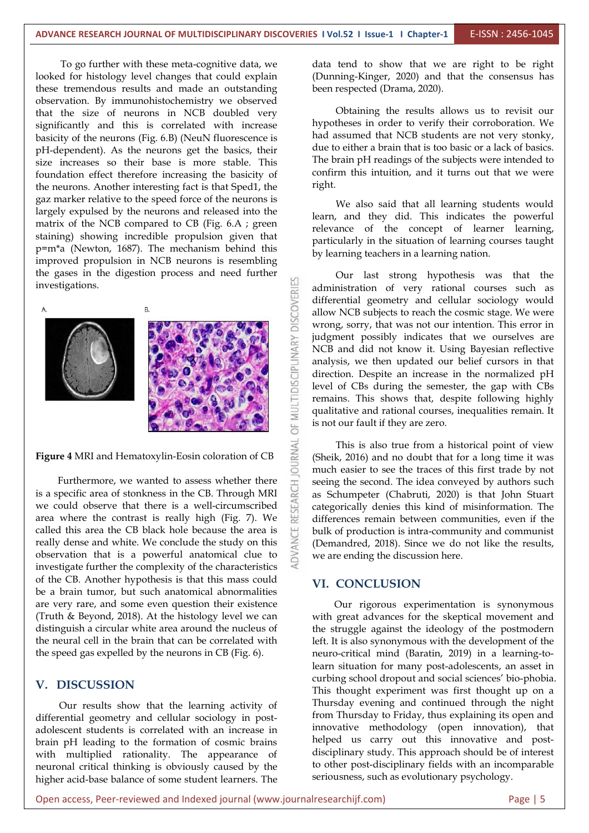To go further with these meta-cognitive data, we looked for histology level changes that could explain these tremendous results and made an outstanding observation. By immunohistochemistry we observed that the size of neurons in NCB doubled very significantly and this is correlated with increase basicity of the neurons (Fig. 6.B) (NeuN fluorescence is pH-dependent). As the neurons get the basics, their size increases so their base is more stable. This foundation effect therefore increasing the basicity of continuation of the neurons. Another interesting fact is that Sped1, the right. the neurons. Another interesting fact is that Sped1, the gaz marker relative to the speed force of the neurons is largely expulsed by the neurons and released into the matrix of the NCB compared to CB (Fig. 6.A ; green staining) showing incredible propulsion given that p=m\*a (Newton,1687). The mechanism behind this improved propulsion in NCB neurons is resembling investigations.



**Figure 4** MRI and Hematoxylin-Eosin coloration of CB

Furthermore, we wanted to assess whether there specific area of stonkness in the CB. Through MRI could observe that there is a well-circumscribed where the contrast is really high (Fig. 7). We is a specific area of stonkness in the CB. Through MRI we could observe that there is a well-circumscribed area where the contrast is really high (Fig. 7). We called this area the CB black hole because the area is really dense and white. We conclude the study on this observation that is a powerful anatomical clue to investigate further the complexity of the characteristics of the CB. Another hypothesis is that this mass could be a brain tumor, but such anatomical abnormalities are very rare, and some even question their existence (Truth & Beyond, 2018). At the histology level we can distinguish a circular white area around the nucleus of the neural cell in the brain that can be correlated with the speed gas expelled by the neurons in CB (Fig. 6).

#### **V. DISCUSSION**

Our results show that the learning activity of differential geometry and cellular sociology in post adolescent students is correlated with an increase in brain pH leading to the formation of cosmic brains with multiplied rationality. The appearance of neuronal critical thinking is obviously caused by the higher acid-base balance of some student learners. The

data tend to show that we are right to be right (Dunning-Kinger, 2020) and that the consensus has been respected (Drama, 2020).

Obtaining the results allows us to revisit our hypotheses in order to verify their corroboration. We had assumed that NCB students are not very stonky, due to either a brain that is too basic or a lack of basics. The brain pH readings of the subjects were intended to confirm this intuition, and it turns out that we were

We also said that all learning students would learn, and they did. This indicates the powerful relevance of the concept of learner learning, particularly in the situation of learning courses taught by learning teachers in a learning nation.

Our last strong hypothesis was that the administration of very rational courses such as differential geometry and cellular sociology would allow NCB subjects to reach the cosmic stage. We were wrong, sorry, that was not our intention. This error in judgment possibly indicates that we ourselves are NCB and did not know it. Using Bayesian reflective analysis, we then updated our belief cursors in that direction. Despite an increase in the normalized pH level of CBs during the semester, the gap with CBs remains. This shows that, despite following highly qualitative and rational courses, inequalities remain. It is not our fault if they are zero.

This is also true from a historical point of view (Sheik, 2016) and no doubt that for a long time it was much easier to see the traces of this first trade by not seeing the second. The idea conveyed by authors such as Schumpeter (Chabruti, 2020) is that John Stuart categorically denies this kind of misinformation. The differences remain between communities, even if the bulk of production is intra-community and communist (Demandred, 2018). Since we do not like the results, we are ending the discussion here.

#### **VI. CONCLUSION**

Our rigorous experimentation is synonymous with great advances for the skeptical movement and the struggle against the ideology of the postmodern left. It is also synonymous with the development of the neuro-critical mind (Baratin, 2019) in a learning-tolearn situation for many post-adolescents, an asset in curbing school dropout and social sciences' bio-phobia. This thought experiment was first thought up on a Thursday evening and continued through the night from Thursday to Friday, thus explaining its open and innovative methodology (open innovation), that helped us carry out this innovative and post disciplinary study. This approach should be of interest to other post-disciplinary fields with an incomparable seriousness, such as evolutionary psychology.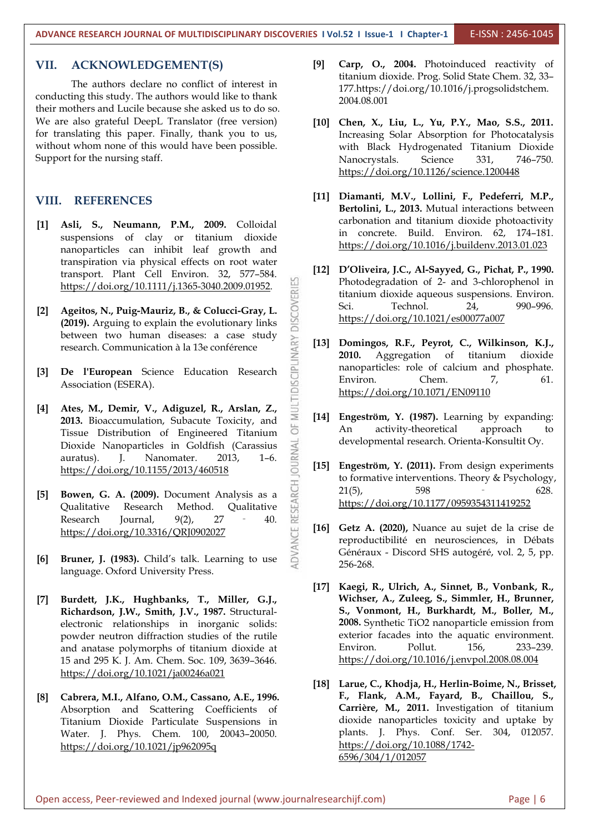**ADVANCE RESEARCH JOURNAL OF MULTIDISCIPLINARY DISCOVERIES I Vol.52 I Issue-1 I Chapter-1** E-ISSN : 2456-1045

#### **VII. ACKNOWLEDGEMENT(S)**

The authors declare no conflict of interest in conducting this study. The authors would like to thank their mothers and Lucile because she asked us to do so. We are also grateful DeepL Translator (free version) for translating this paper. Finally, thank you to us, without whom none of this would have been possible. Support for the nursing staff.

#### **VIII. REFERENCES**

- **[1] Asli, S., Neumann, P.M., 2009.** Colloidal suspensions of clay or titanium dioxide nanoparticles can inhibit leaf growth and transpiration via physical effects on root water <https://doi.org/10.1111/j.1365-3040.2009.01952>.
- transport. Plant Cell Environ. 32, 577–584.<br>
https://doi.org/10.1111/j.1365-3040.2009.01952.<br>
Ageitos, N., Puig-Mauriz, B., & Colucci-Gray, L.<br>
(2019). Arguing to explain the evolutionary links<br>
between two human diseases **[2] Ageitos, N., Puig-Mauriz, B., & Colucci-Gray, L. (2019).** Arguing to explain the evolutionary links between two human diseases: a case study research. Communication à la 13e conférence  $\frac{1}{2}$  [13] Domi
- **[3] De l'European** Science Education Research Association (ESERA).
- **[4] Ates, M., Demir, V., Adiguzel, R., Arslan, Z., 2013.** Bioaccumulation, Subacute Toxicity, and  $\begin{bmatrix} 14 \\ 0 \end{bmatrix}$  [14] Eng Tissue Distribution of Engineered Titanium<br>Dioxide Nanoparticles in Goldfish (Carassius auratus). J. Nanomater. 2013, 1-6.<br>https://doi.org/10.1155/2013/460518 Dioxide Nanoparticles in Goldfish (Carassius auratus). J. Nanomater. 2013, 1–6. <https://doi.org/10.1155/2013/460518>
- **[5] Bowen, G. A. (2009).** Document Analysis as a  $\frac{17}{10}$  and  $\frac{21(5)}{5}$ , Qualitative Research Method. Qualitative https:<br>
Research Journal,  $9(2)$ ,  $27 40$ .  $\frac{11}{10}$  **Getz** https://doi.org/10.3316/QRJ0902027<br> Qualitative Research Method. Qualitative Research Journal,  $9(2)$ ,  $27 - 40$ . <https://doi.org/10.3316/QRJ0902027>
- **[6] Bruner, J. (1983).** Child's talk. Learning to use language. Oxford University Press.
- **[7] Burdett, J.K., Hughbanks, T., Miller, G.J., Richardson, J.W., Smith, J.V., 1987.** Structural electronic relationships in inorganic solids: powder neutron diffraction studies of the rutile and anatase polymorphs of titanium dioxide at 15 and 295 K. J. Am. Chem. Soc. 109, 3639–3646. <https://doi.org/10.1021/ja00246a021>
- **[8] Cabrera, M.I., Alfano, O.M., Cassano, A.E., 1996.** Absorption and Scattering Coefficients of Titanium Dioxide Particulate Suspensions in Water. J. Phys. Chem. 100, 20043–20050. <https://doi.org/10.1021/jp962095q>
- **[9] Carp, O., 2004.** Photoinduced reactivity of titanium dioxide. Prog. Solid State Chem. 32, 33-177.https://doi.org/10.1016/j.progsolidstchem. 2004.08.001
- **[10] Chen, X., Liu, L., Yu, P.Y., Mao, S.S., 2011.** Increasing Solar Absorption for Photocatalysis with Black Hydrogenated Titanium Dioxide Nanocrystals. Science 331, 746-750. <https://doi.org/10.1126/science.1200448>
- **[11] Diamanti, M.V., Lollini, F., Pedeferri, M.P., Bertolini, L., 2013.** Mutual interactions between carbonation and titanium dioxide photoactivity in concrete. Build. Environ. 62, 174–181. <https://doi.org/10.1016/j.buildenv.2013.01.023>
- **[12] D'Oliveira, J.C., Al-Sayyed, G., Pichat, P., 1990.** Photodegradation of 2- and 3-chlorophenol in titanium dioxide aqueous suspensions. Environ. Technol. 24, 990–996. <https://doi.org/10.1021/es00077a007>
- **[13] Domingos, R.F., Peyrot, C., Wilkinson, K.J., 2010.** Aggregation of titanium dioxide nanoparticles: role of calcium and phosphate. Environ. Chem. 7, 61. <https://doi.org/10.1071/EN09110>
- **[14] Engeström, Y. (1987).** Learning by expanding: activity-theoretical approach to developmental research. Orienta-Konsultit Oy.
- **[15] Engeström, Y. (2011).** From design experiments to formative interventions. Theory & Psychology,  $21(5)$ , 598 – 628. <https://doi.org/10.1177/0959354311419252>
- **[16] Getz A. (2020),** Nuance au sujet de la crise de reproductibilité en neurosciences, in Débats Généraux - Discord SHS autogéré, vol. 2, 5, pp. 256-268.
- **[17] Kaegi, R., Ulrich, A., Sinnet, B., Vonbank, R., Wichser, A., Zuleeg, S., Simmler, H., Brunner, S., Vonmont, H., Burkhardt, M., Boller, M., 2008.** Synthetic TiO2 nanoparticle emission from exterior facades into the aquatic environment. Pollut. 156. 233-239. <https://doi.org/10.1016/j.envpol.2008.08.004>
- **[18] Larue, C., Khodja, H., Herlin-Boime, N., Brisset, F., Flank, A.M., Fayard, B., Chaillou, S., Carrière, M., 2011.** Investigation of titanium dioxide nanoparticles toxicity and uptake by plants. J. Phys. Conf. Ser. 304, 012057. [https://doi.org/10.1088/1742-](https://doi.org/10.1088/1742-6596/304/1/012057) 6596/304/1/012057